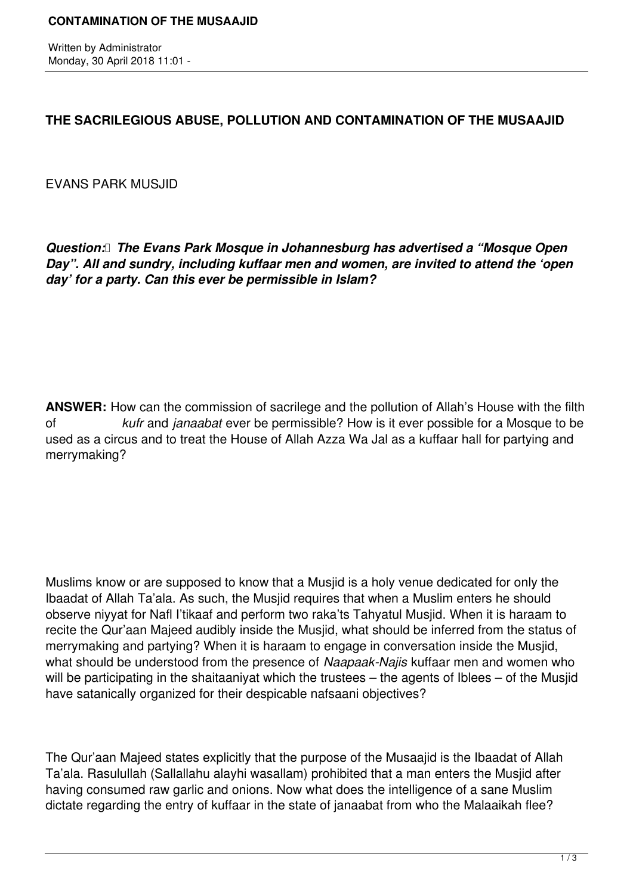Written by Administrator Monday, 30 April 2018 11:01 -

## **THE SACRILEGIOUS ABUSE, POLLUTION AND CONTAMINATION OF THE MUSAAJID**

EVANS PARK MUSJID

*Question: The Evans Park Mosque in Johannesburg has advertised a "Mosque Open Day". All and sundry, including kuffaar men and women, are invited to attend the 'open day' for a party. Can this ever be permissible in Islam?*

**ANSWER:** How can the commission of sacrilege and the pollution of Allah's House with the filth of *kufr* and *janaabat* ever be permissible? How is it ever possible for a Mosque to be used as a circus and to treat the House of Allah Azza Wa Jal as a kuffaar hall for partying and merrymaking?

Muslims know or are supposed to know that a Musjid is a holy venue dedicated for only the Ibaadat of Allah Ta'ala. As such, the Musjid requires that when a Muslim enters he should observe niyyat for Nafl I'tikaaf and perform two raka'ts Tahyatul Musjid. When it is haraam to recite the Qur'aan Majeed audibly inside the Musjid, what should be inferred from the status of merrymaking and partying? When it is haraam to engage in conversation inside the Musjid, what should be understood from the presence of *Naapaak-Najis* kuffaar men and women who will be participating in the shaitaaniyat which the trustees – the agents of Iblees – of the Musjid have satanically organized for their despicable nafsaani objectives?

The Qur'aan Majeed states explicitly that the purpose of the Musaajid is the Ibaadat of Allah Ta'ala. Rasulullah (Sallallahu alayhi wasallam) prohibited that a man enters the Musjid after having consumed raw garlic and onions. Now what does the intelligence of a sane Muslim dictate regarding the entry of kuffaar in the state of janaabat from who the Malaaikah flee?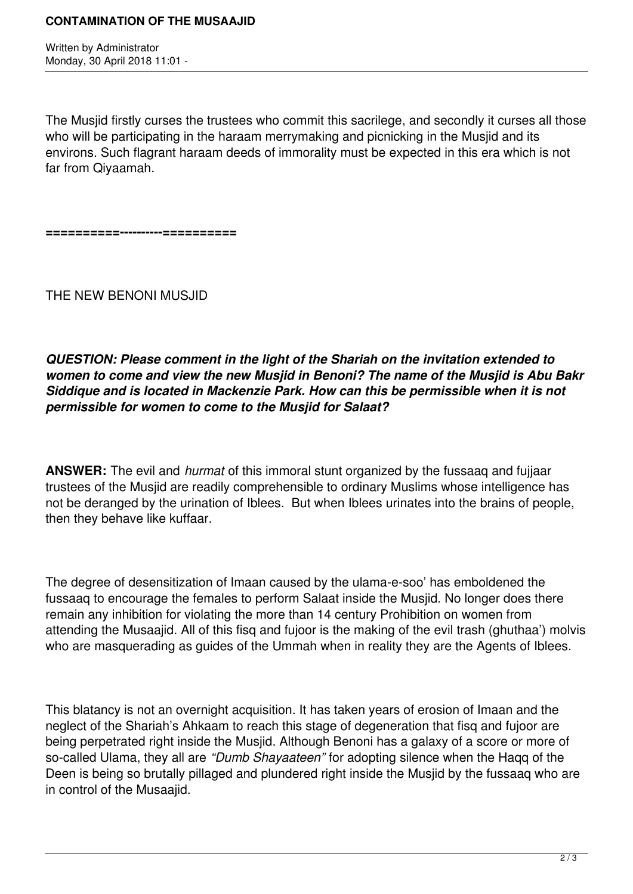Written by Administrator Monday, 30 April 2018 11:01 -

The Musjid firstly curses the trustees who commit this sacrilege, and secondly it curses all those who will be participating in the haraam merrymaking and picnicking in the Musjid and its environs. Such flagrant haraam deeds of immorality must be expected in this era which is not far from Qiyaamah.

**==========----------==========**

THE NEW BENONI MUSJID

*QUESTION: Please comment in the light of the Shariah on the invitation extended to women to come and view the new Musjid in Benoni? The name of the Musjid is Abu Bakr Siddique and is located in Mackenzie Park. How can this be permissible when it is not permissible for women to come to the Musjid for Salaat?*

**ANSWER:** The evil and *hurmat* of this immoral stunt organized by the fussaaq and fujjaar trustees of the Musjid are readily comprehensible to ordinary Muslims whose intelligence has not be deranged by the urination of Iblees. But when Iblees urinates into the brains of people, then they behave like kuffaar.

The degree of desensitization of Imaan caused by the ulama-e-soo' has emboldened the fussaaq to encourage the females to perform Salaat inside the Musjid. No longer does there remain any inhibition for violating the more than 14 century Prohibition on women from attending the Musaajid. All of this fisq and fujoor is the making of the evil trash (ghuthaa') molvis who are masquerading as guides of the Ummah when in reality they are the Agents of Iblees.

This blatancy is not an overnight acquisition. It has taken years of erosion of Imaan and the neglect of the Shariah's Ahkaam to reach this stage of degeneration that fisq and fujoor are being perpetrated right inside the Musjid. Although Benoni has a galaxy of a score or more of so-called Ulama, they all are *"Dumb Shayaateen"* for adopting silence when the Haqq of the Deen is being so brutally pillaged and plundered right inside the Musiid by the fussaag who are in control of the Musaajid.